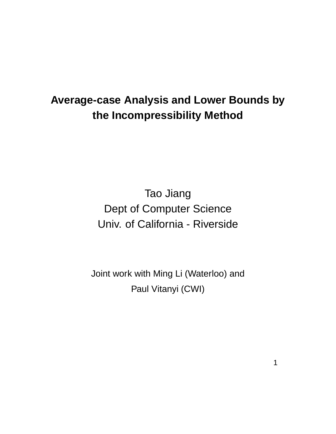# **Average-case Analysis and Lower Bounds by the Incompressibility Method**

Tao Jiang Dept of Computer Science Univ. of California - Riverside

Joint work with Ming Li (Waterloo) and Paul Vitanyi (CWI)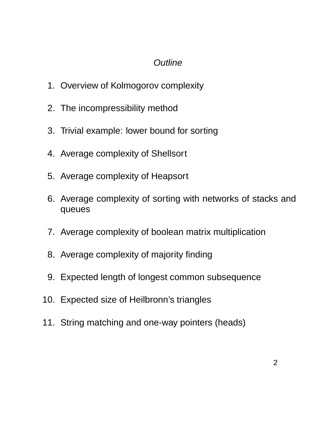# **Outline**

- 1. Overview of Kolmogorov complexity
- 2. The incompressibility method
- 3. Trivial example: lower bound for sorting
- 4. Average complexity of Shellsort
- 5. Average complexity of Heapsort
- 6. Average complexity of sorting with networks of stacks and queues
- 7. Average complexity of boolean matrix multiplication
- 8. Average complexity of majority finding
- 9. Expected length of longest common subsequence
- 10. Expected size of Heilbronn's triangles
- 11. String matching and one-way pointers (heads)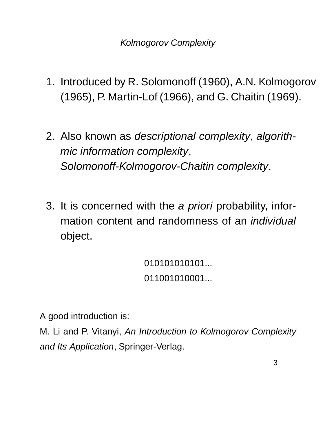- 1. Introduced by R. Solomonoff (1960), A.N. Kolmogorov (1965), P. Martin-Lof (1966), and G. Chaitin (1969).
- 2. Also known as descriptional complexity, algorithmic information complexity, Solomonoff-Kolmogorov-Chaitin complexity.
- 3. It is concerned with the a priori probability, information content and randomness of an individual object.

010101010101... 011001010001...

A good introduction is:

M. Li and P. Vitanyi, An Introduction to Kolmogorov Complexity and Its Application, Springer-Verlag.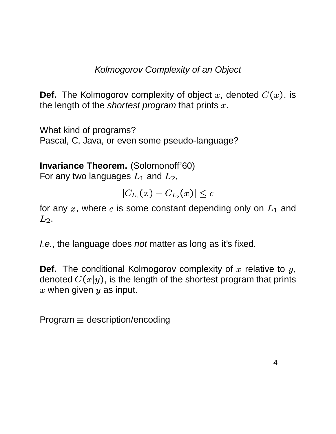# Kolmogorov Complexity of an Object

**Def.** The Kolmogorov complexity of object  $x$ , denoted  $C(x)$ , is the length of the *shortest program* that prints  $x$ .

What kind of programs? Pascal, C, Java, or even some pseudo-language?

**Invariance Theorem.** (Solomonoff'60) For any two languages  $L_1$  and  $L_2$ ,

$$
|C_{L_1}(x)-C_{L_2}(x)|\leq c
$$

for any  $x$ , where  $c$  is some constant depending only on  $L_1$  and  $L_2$ .

*I.e.*, the language does *not* matter as long as it's fixed.

**Def.** The conditional Kolmogorov complexity of  $x$  relative to  $y$ , denoted  $C(x|y)$ , is the  $\left(y\right)$ , is the length of the shortest program that prints  $x$  when given  $y$  as input.  $\overline{\phantom{a}}$ 

 $Program \equiv description/encoding$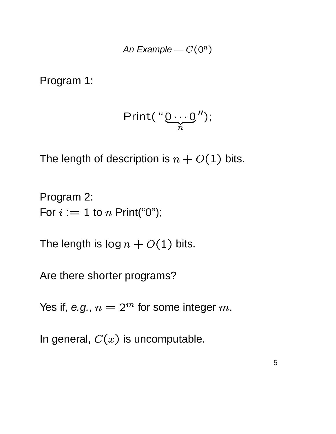An Example 
$$
-C(0^n)
$$

Program 1:

$$
Print("Q...Q'');
$$

The length of description is  $n + O(1)$  bits.

Program 2: For  $i := 1$  to n Print("0");

The length is  $\log n + O(1)$  bits.

Are there shorter programs?

Yes if, e.g.,  $n = 2^m$  for some integer m.

In general,  $C(x)$  is uncomputable.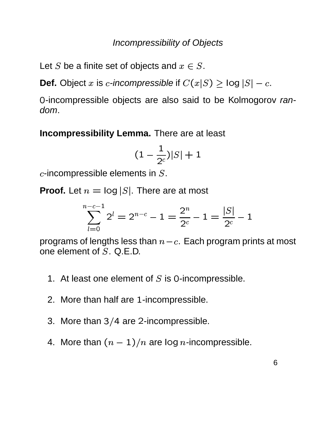### Incompressibility of Objects

Let S be a finite set of objects and  $x \in S$ .

**Def.** Object  $x$  is  $c$ -incompressible if  $C(x|S) \geq \log |S| - c$ .

0-incompressible objects are also said to be Kolmogorov random.

**Incompressibility Lemma.** There are at least

$$
(1-\frac{1}{2^c})|S|+1
$$

 $c$ -incompressible elements in  $S.$ 

**Proof.** Let  $n = \log |S|$ . There are at most

$$
\sum_{l=0}^{n-c-1} 2^l = 2^{n-c} - 1 = \frac{2^n}{2^c} - 1 = \frac{|S|}{2^c} - 1
$$

programs of lengths less than  $n\!-\!c.$  Each program prints at most one element of  $S$ ,  $Q$ ,  $E$ ,  $D$ .

- 1. At least one element of  $S$  is 0-incompressible.
- 2. More than half are 1-incompressible.
- 3. More than  $3/4$  are 2-incompressible.
- 4. More than  $(n-1)/n$  are log n-incompressible.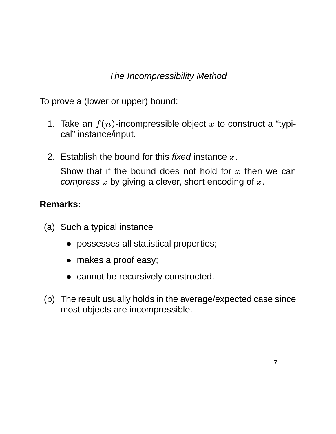# The Incompressibility Method

To prove a (lower or upper) bound:

- 1. Take an  $f(n)$ -incompressible object x to construct a "typical" instance/input.
- 2. Establish the bound for this *fixed* instance  $x$ . Show that if the bound does not hold for  $x$  then we can compress  $x$  by giving a clever, short encoding of  $x$ .

### **Remarks:**

- (a) Such a typical instance
	- possesses all statistical properties;
	- makes a proof easy;
	- cannot be recursively constructed.
- (b) The result usually holds in the average/expected case since most objects are incompressible.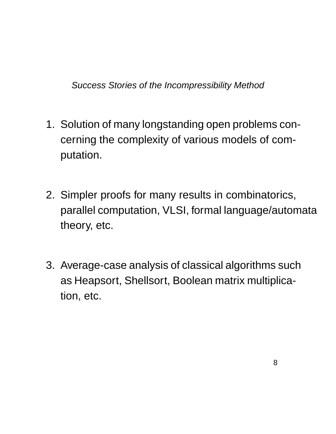Success Stories of the Incompressibility Method

- 1. Solution of many longstanding open problems concerning the complexity of various models of computation.
- 2. Simpler proofs for many results in combinatorics, parallel computation, VLSI, formal language/automata theory, etc.
- 3. Average-case analysis of classical algorithms such as Heapsort, Shellsort, Boolean matrix multiplication, etc.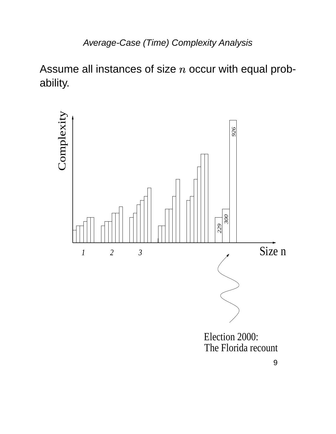Assume all instances of size  $n$  occur with equal probability.

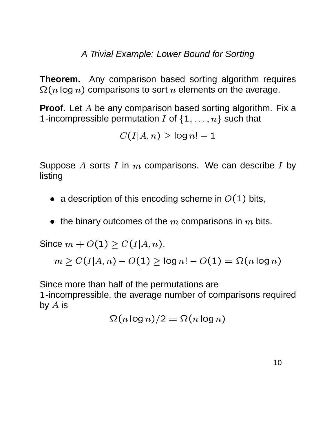A Trivial Example: Lower Bound for Sorting

**Theorem.** Any comparison based sorting algorithm requires  $\Omega(n\log n)$  comparisons to sort  $n$  elements on the average.

**Proof.** Let A be any comparison based sorting algorithm. Fix a 1-incompressible permutation  $I$  of  $\{1,\ldots,n\}$  such that

$$
C(I|A,n) \geq \log n! - 1
$$

Suppose  $A$  sorts  $I$  in  $m$  comparisons. We can describe  $I$  by listing

- $\bullet~$  a description of this encoding scheme in  $O(1)$  bits,
- $\bullet \ \,$  the binary outcomes of the  $m$  comparisons in  $m$  bits.

Since  $m + O(1) \ge C(I|A)$ ,  $-1$   $-1$   $-1$   $-1$  $\sqrt{11}$   $\sqrt{111}$ <sup>v</sup> <sup>u</sup>  $,n$  ) ,

 $\sim$   $\alpha$  $\iota$   $\iota$   $\alpha$   $\alpha$  $\sim$  values of  $\sim$  values of  $\sim$  values of  $\sim$  values of  $\sim$  values of  $\sim$ . . <sup>u</sup> ,  $n$  )  $O(1)$   $>$  log  $n!$   $(1)$   $>$  log  $n! - O(1) = \Omega(n)$ log  $(1)$   $\subset$   $\bigcap_{\alpha}$   $\bigcap_{\alpha}$   $\bigcap_{\alpha}$ 

Since more than half of the permutations are 1-incompressible, the average number of comparisons required by  $A$  is

$$
\Omega(n \log n)/2 = \Omega(n \log n)
$$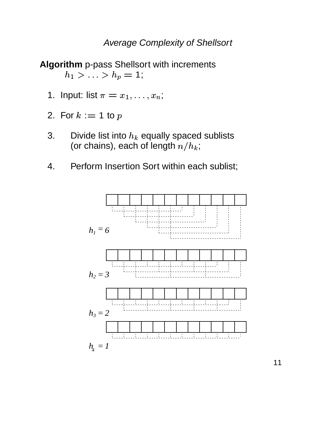#### Average Complexity of Shellsort

**Algorithm** p-pass Shellsort with increments  $h_1 > \ldots > h_p = 1;$ 

- 1. Input: list  $\pi = x_1, \ldots, x_n;$  ${x_1, \ldots, x_n};$
- 2. For  $k := 1$  to  $p$
- 3. Divide list into  $h_k$  equally spaced sublists (or chains), each of length  $n/h_k;$
- 4. Perform Insertion Sort within each sublist;



11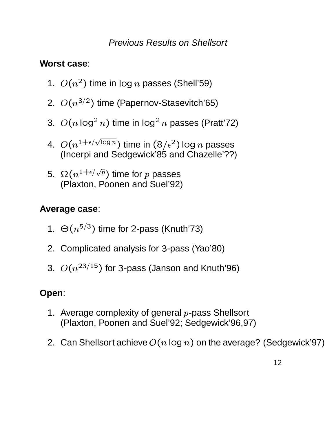### Previous Results on Shellsort

# **Worst case**:

- 1.  $O(n^2)$  time in log n passes (Shell'59)
- 2.  $O(n^{3/2})$  time (Papernov-Stasevitch'65)
- 3.  $O(n \log^2 n)$  time in log<sup>2</sup> n passes (Pratt'72)
- 4.  $O(n^{1+\epsilon/\sqrt{\log n}})$  time in  $(8/\epsilon^2)$  log  $n$  passes (Incerpi and Sedgewick'85 and Chazelle'??)
- 5.  $\Omega(n^{1+\epsilon/\sqrt{p}})$  time for  $p$  passes (Plaxton, Poonen and Suel'92)

# **Average case**:

- 1.  $\Theta(n^{5/3})$  time for 2-pass (Knuth'73)
- 2. Complicated analysis for 3-pass (Yao'80)
- 3.  $O(n^{23/15})$  for 3-pass (Janson and Knuth'96)

# **Open**:

- 1. Average complexity of general  $p$ -pass Shellsort (Plaxton, Poonen and Suel'92; Sedgewick'96,97)
- 2. Can Shellsort achieve  $O(n \log n)$  on the average? (Sedgewick'97)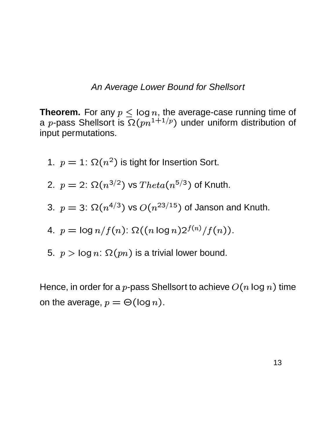#### An Average Lower Bound for Shellsort

**Theorem.** For any  $p \leq \log n$ , the average-case running time of a *p*-pass Shellsort is  $\Omega(pn^{1+1/p})$  under uniform distribution of input permutations.

1.  $p = 1$ :  $\Omega(n^2)$  is tight for Insertion Sort.

2. 
$$
p = 2
$$
:  $\Omega(n^{3/2})$  vs  $Theta(n^{5/3})$  of Knuth.

3. 
$$
p = 3
$$
:  $\Omega(n^{4/3})$  vs  $O(n^{23/15})$  of Janson and Knuth.

4. 
$$
p = \log n/f(n)
$$
:  $\Omega((n \log n)2^{f(n)}/f(n))$ .

5.  $p > \log n$ :  $\Omega(pn)$  is a trivial lower bound.

Hence, in order for a  $p$ -pass Shellsort to achieve  $O(n\log n)$  time on the average,  $p = \Theta(\log n)$ . (log  $n$ ).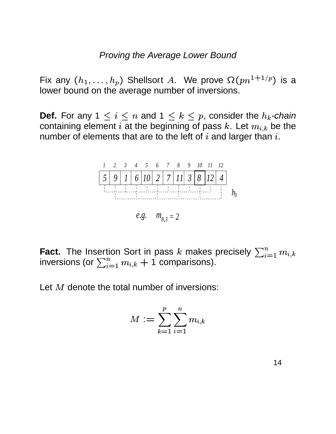#### Proving the Average Lower Bound

Fix any  $(h_1, \ldots, h_p)$   $(x_1, \ldots, h_p)$  Shellsort A. We prove  $\Omega(pn^{1+1/p})$  is a lower bound on the average number of inversions.

**Def.** For any  $1 \leq i \leq n$  and  $1 \leq k \leq p$ , consider the  $h_k$ -chain containing element  $i$  at the beginning of pass  $k.$  Let  $m_{i,k}$  be the number of elements that are to the left of  $i$  and larger than  $i$ .



**Fact.** The Insertion Sort in pass k makes precisely  $\sum_{i=1}^{n} m_{i,k}$  $\sum\limits_{i=1}^n m_{i,k}$ inversions (or  $\sum_{i=1}^n m_{i,k}+1$  compa  $_{i=1}^{n}$   $m_{i,k}+1$  comparisons).

Let  $M$  denote the total number of inversions:

$$
M:=\sum_{k=1}^p\sum_{i=1}^nm_{i,k}
$$

14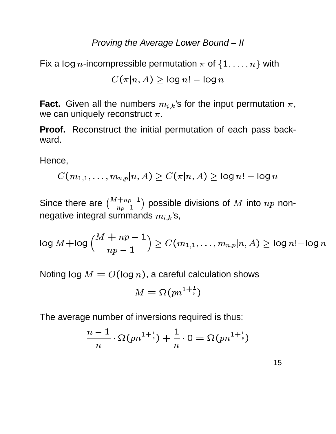### Proving the Average Lower Bound – II

Fix a log n-incompressible permutation  $\pi$  of  $\{1,\ldots,n\}$  with

$$
C(\pi|n, A) \geq \log n! - \log n
$$

**Fact.** Given all the numbers  $m_{i,k}$ 's for the input permutation  $\pi$ , we can uniquely reconstruct  $\pi$ .

**Proof.** Reconstruct the initial permutation of each pass backward.

Hence,

$$
C(m_{1,1},\ldots,m_{n,p}|n,A)\geq C(\pi|n,A)\geq \log n!-\log n
$$

Since there are  $\binom{M+np-1}{np-1}$  possib  $\left( \begin{smallmatrix} +np-1 \ np-1 \end{smallmatrix} \right)$  possible divisions of  $M$  into  $np$  nonnegative integral summands  $m_{i,k}$ 's,

$$
\log M + \log \Big(\frac{M+np-1}{np-1}\Big) \geq C(m_{1,1},\ldots,m_{n,p}|n,A) \geq \log n! - \log n
$$

Noting log  $M=O(\log n)$ , a caref (log  $n$ ), a careful calculation shows

$$
M=\Omega(pn^{1+\frac{1}{p}})
$$

The average number of inversions required is thus:

$$
\frac{n-1}{n}\cdot \Omega(pn^{1+\frac{1}{p}})+\frac{1}{n}\cdot 0=\Omega(pn^{1+\frac{1}{p}})
$$

15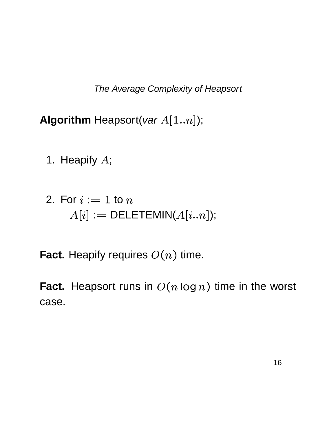The Average Complexity of Heapsort

**Algorithm** Heapsort(var  $A[1..n]$ );

- 1. Heapify <sup>À</sup>;
- 2. For  $i := 1$  to  $n$  $A[i] := \mathsf{DELETEMIN}(A[i..n]);$
- **Fact.** Heapify requires  $O(n)$  time. <sup>=</sup> <sup>9</sup> time.

**Fact.** Heapsort runs in  $O(n \log n)$  time <sup>=</sup> GIHJ <sup>=</sup> <sup>9</sup> time in the worst case.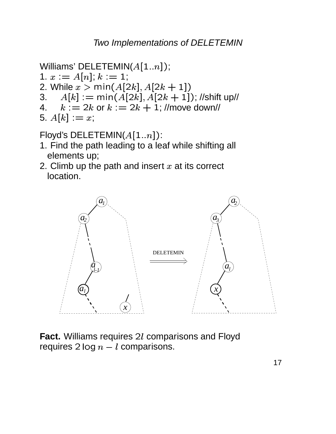Two Implementations of DELETEMIN

```
Williams' DELETEMIN(A[1..n]);
1. x := A[n]; k := 1;2. While x > min(A[2k], A[2k + 1])A[k] := min(A[2k], A[2k + 1]); //shift up//
3.k := 2k or k := 2k + 1; //move down//
4.
5. A[k] := x;
```
Floyd's DELETEMIN( $A[1..n]$ ):

- 1. Find the path leading to a leaf while shifting all elements up;
- 2. Climb up the path and insert  $x$  at its correct location.



**Fact.** Williams requires 2l comparisons and Floyd requires  $2 \log n - l$  comparisons.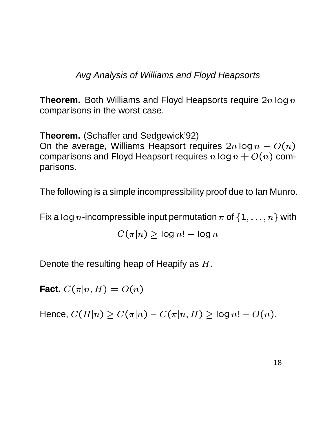Avg Analysis of Williams and Floyd Heapsorts

**Theorem.** Both Williams and Floyd Heapsorts require  $2n \log n$ comparisons in the worst case.

**Theorem.** (Schaffer and Sedgewick'92) On the average, Williams Heapsort requires  $2n \log n - O(n)$ comparisons and Floyd Heapsort requires  $n\log n+O(n)$  com- $(n)$  comparisons.

The following is a simple incompressibility proof due to Ian Munro.

Fix a log n-incompressible input permutation  $\pi$  of  $\{1,\ldots,n\}$  with

$$
C(\pi|n) \geq \log n! - \log n
$$

Denote the resulting heap of Heapify as  $H$ .

**Fact.**  $C(\pi|n,H) = O$  $(n, H) = O(n)$ 

Hence,  $C(H|n) \geq C(\pi | n) - 0$  6pjT -  $\begin{array}{ccccc} \Box & \Box & \Box & \Box & \Box \end{array}$  $\cdots$   $\cdots$  $(n,H)\geq \log n! - O(n).$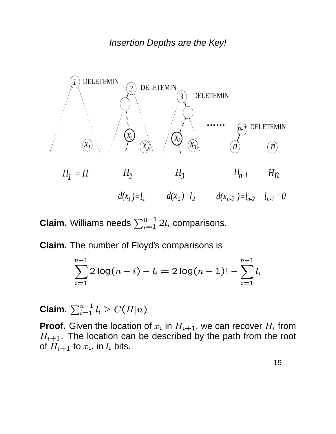

**Claim.** Williams needs  $\sum_{i=1}^{n-1} 2l_i$  comparisons.

**Claim.** The number of Floyd's comparisons is

$$
\sum_{i=1}^{n-1} 2\log(n-i)-l_i = 2\log(n-1)! - \sum_{i=1}^{n-1} l_i
$$

Claim.  $\sum_{i=1}^{n-1} l_i \geq C(H|n)$  $l_i \geq C(H|n)$  $\begin{array}{ccc} \mathbf{0} & \mathbf{0} & \mathbf{0} & \mathbf{0} & \mathbf{0} & \mathbf{0} & \mathbf{0} & \mathbf{0} & \mathbf{0} & \mathbf{0} & \mathbf{0} & \mathbf{0} & \mathbf{0} & \mathbf{0} & \mathbf{0} & \mathbf{0} & \mathbf{0} & \mathbf{0} & \mathbf{0} & \mathbf{0} & \mathbf{0} & \mathbf{0} & \mathbf{0} & \mathbf{0} & \mathbf{0} & \mathbf{0} & \mathbf{0} & \mathbf{0} & \mathbf{0} & \mathbf{0} & \mathbf$ 

**Proof.** Given the location of  $x_i$  in  $H_{i+1}$ , we can recover  $H_i$  from  $H_{i+1}$ . The location can be described by the path from the root of  $H_{i+1}$  to  $x_i$ , in  $l_i$  bits.

19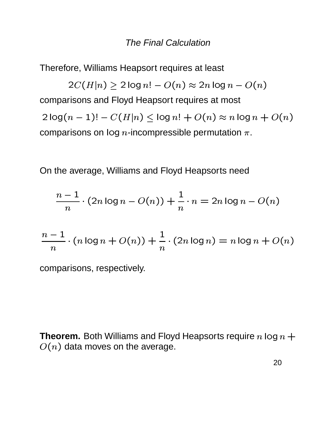#### **The Final Calculation**

Therefore, Williams Heapsort requires at least

 $2C(H|n) \ge 2 \log n! - O(n) \approx 2n \log n - O(n)$ comparisons and Floyd Heapsort requires at most  $2 log(n - 1)! - C(H|n) \le log n! + O(n) \approx n log n + O(n)$ comparisons on  $log n$ -incompressible permutation  $\pi$ .

On the average, Williams and Floyd Heapsorts need

$$
\frac{n-1}{n} \cdot (2n \log n - O(n)) + \frac{1}{n} \cdot n = 2n \log n - O(n)
$$

$$
\frac{n-1}{n} \cdot (n \log n + O(n)) + \frac{1}{n} \cdot (2n \log n) = n \log n + O(n)
$$

comparisons, respectively.

**Theorem.** Both Williams and Floyd Heapsorts require  $n \log n +$  $O(n)$  data moves on the average.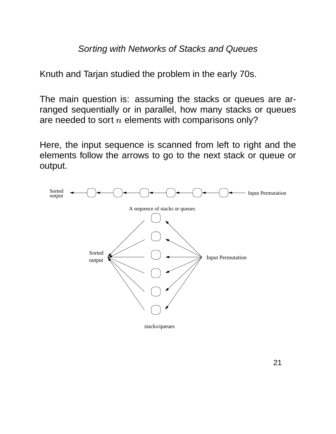#### Sorting with Networks of Stacks and Queues

Knuth and Tarjan studied the problem in the early 70s.

The main question is: assuming the stacks or queues are arranged sequentially or in parallel, how many stacks or queues are needed to sort  $n$  elements with comparisons only?

Here, the input sequence is scanned from left to right and the elements follow the arrows to go to the next stack or queue or output.

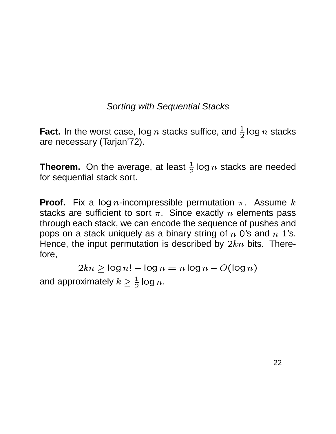### Sorting with Sequential Stacks

**Fact.** In the worst case, log n stacks suffice, and  $\frac{1}{2}$  log n stacks are necessary (Tarjan'72).

**Theorem.** On the average, at least  $\frac{1}{2}$  log n stacks are needed for sequential stack sort.

**Proof.** Fix a log *n*-incompressible permutation  $\pi$ . Assume  $k$ stacks are sufficient to sort  $\pi$ . Since exactly  $n$  elements pass through each stack, we can encode the sequence of pushes and pops on a stack uniquely as a binary string of  $n$  0's and  $n$  1's. Hence, the input permutation is described by  $2kn$  bits. Therefore,

 $2kn \geq \log n! - \log n = n \log n - O(\log n)$ and approximately  $k \geq \frac{1}{2} \log n$ .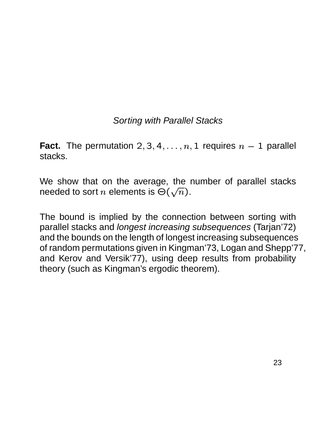# Sorting with Parallel Stacks

**Fact.** The permutation  $2, 3, 4, \ldots, n$ , . . . . . . . . . . .  $, \ldots, n, 1$  requires  $n-1$  parallel stacks.

We show that on the average, the number of parallel stacks needed to sort  $n$  elements is  $\Theta(\sqrt{n}).$ 

The bound is implied by the connection between sorting with parallel stacks and longest increasing subsequences (Tarjan'72) and the bounds on the length of longest increasing subsequences of random permutations given in Kingman'73, Logan and Shepp'77, and Kerov and Versik'77), using deep results from probability theory (such as Kingman's ergodic theorem).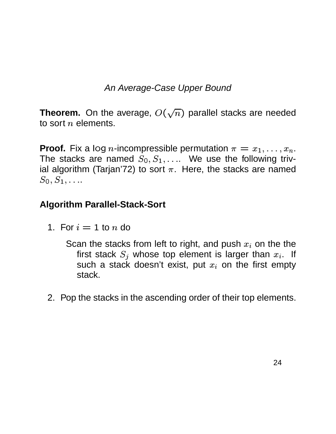# An Average-Case Upper Bound

**Theorem.** On the average,  $O(\sqrt{n})$  parallel stacks are needed to sort  $n$  elements.

**Proof.** Fix a log *n*-incompressible permutation  $\pi = x_1, \ldots, x_n$ .  $x_1,\ldots,x_n.$ The stacks are named  $S_0, S_1, \ldots$  We use the following trivial algorithm (Tarjan'72) to sort  $\pi$ . Here, the stacks are named  $S$ o.  $S$ 1. . . .  $S_1, \ldots$ 

### **Algorithm Parallel-Stack-Sort**

1. For  $i=1$  to  $n$  do

Scan the stacks from left to right, and push  $x_i$  on the the first stack  $S_j$  whose top element is larger than  $x_i$ . If such a stack doesn't exist, put  $x_i$  on the first empty stack.

2. Pop the stacks in the ascending order of their top elements.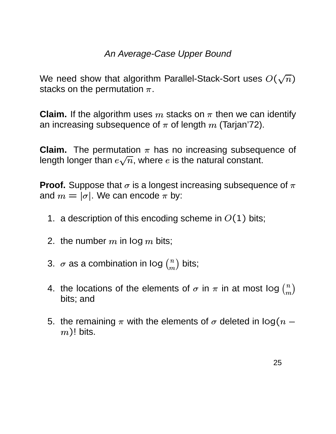### An Average-Case Upper Bound

We need show that algorithm Parallel-Stack-Sort uses  $O(\sqrt{n})$ stacks on the permutation  $\pi$ .

**Claim.** If the algorithm uses  $m$  stacks on  $\pi$  then we can identify an increasing subsequence of  $\pi$  of length  $m$  (Tarjan'72).

**Claim.** The permutation  $\pi$  has no increasing subsequence of length longer than  $e\sqrt{n}$ , where  $e$  is the natural constant.

**Proof.** Suppose that  $\sigma$  is a longest increasing subsequence of  $\pi$ and  $m=|\sigma|.$  We can enc . . . . . . . . . . . We can encode  $\pi$  by:

- 1. a description of this encoding scheme in  $O(1)$  bits;
- 2. the number  $m$  in log  $m$  bits;
- 3.  $\sigma$  as a combination in log  $\binom{n}{m}$  bits;
- 4. the locations of the elements of  $\sigma$  in  $\pi$  in at most Iog  $\binom{n}{m}$ bits; and
- 5. the remaining  $\pi$  with the elements of  $\sigma$  deleted in log(  $n (m)!$  bits.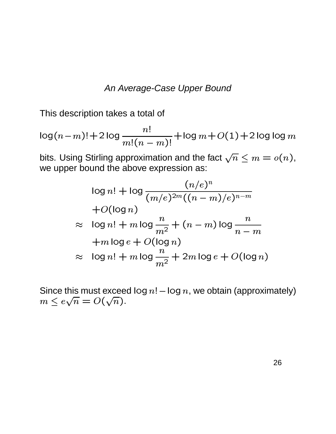#### An Average-Case Upper Bound

This description takes a total of

$$
\log(n-m)! + 2\log\frac{n!}{m!(n-m)!} + \log m + O(1) + 2\log\log m
$$

bits. Using Stirling approximation and the fact  $\sqrt{n} \le m = o(n)$ , we upper bound the above expression as:

$$
\log n! + \log \frac{(n/e)^n}{(m/e)^{2m}((n-m)/e)^{n-m}}
$$
  
+ $O(\log n)$   
 $\approx \log n! + m \log \frac{n}{m^2} + (n-m) \log \frac{n}{n-m}$   
+ $m \log e + O(\log n)$   
 $\approx \log n! + m \log \frac{n}{m^2} + 2m \log e + O(\log n)$ 

Since this must exceed  $log n! - log n$ , we obtain (approximately)  $m \le e\sqrt{n} = O(\sqrt{n}).$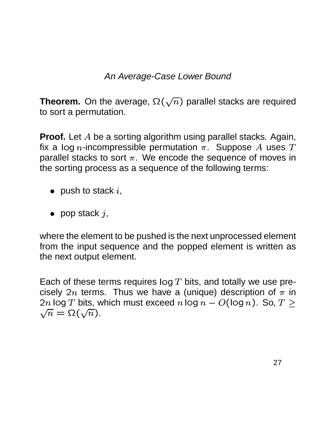### An Average-Case Lower Bound

**Theorem.** On the average,  $\Omega(\sqrt{n})$  parallel stacks are required to sort a permutation.

**Proof.** Let  $A$  be a sorting algorithm using parallel stacks. Again, fix a log n-incompressible permutation  $\pi$ . Suppose  $A$  uses  $T$ parallel stacks to sort  $\pi$ . We encode the sequence of moves in the sorting process as a sequence of the following terms:

- $\bullet \;\;$  push to stack  $i,$
- pop stack  $j$ ,

where the element to be pushed is the next unprocessed element from the input sequence and the popped element is written as the next output element.

Each of these terms requires  $log T$  bits, and totally we use precisely  $2n$  terms. Thus we have a (unique) description of  $\pi$  in  $2n$  log  $T$  bits, which must exceed  $n$  log  $n-O(\log n).$  So,  $T\ge$  $\sqrt{n} = \Omega(\sqrt{n}).$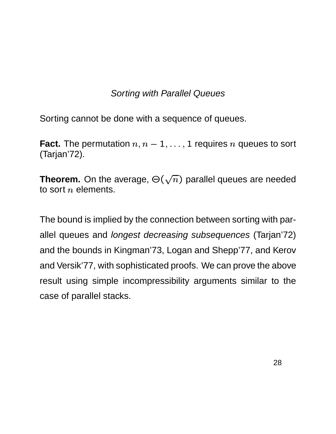# Sorting with Parallel Queues

Sorting cannot be done with a sequence of queues.

**Fact.** The permutation  $n, n-1, \ldots, 1$  requires n queues to sort (Tarjan'72).

**Theorem.** On the average,  $\Theta(\sqrt{n})$  parallel queues are needed to sort  $n$  elements.

The bound is implied by the connection between sorting with parallel queues and longest decreasing subsequences (Tarjan'72) and the bounds in Kingman'73, Logan and Shepp'77, and Kerov and Versik'77, with sophisticated proofs. We can prove the above result using simple incompressibility arguments similar to the case of parallel stacks.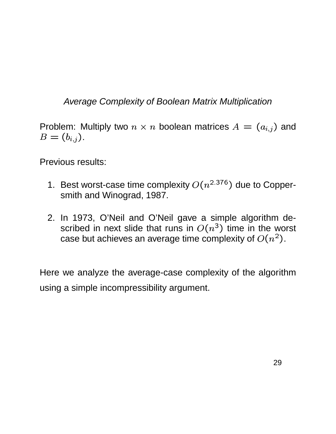# Average Complexity of Boolean Matrix Multiplication

Problem: Multiply two  $n \times n$  boolean matrices  $A = (a_{i,j})$  and  $_{i,j})$  and  $\Box$   $\Box$   $\Box$  $_{i,j}).$ 

Previous results:

- 1. Best worst-case time complexity  $O(n^{2.376})$  due to Coppersmith and Winograd, 1987.
- 2. In 1973, O'Neil and O'Neil gave a simple algorithm described in next slide that runs in  $O(n^3)$  time in the worst case but achieves an average time complexity of  $O(n^2)$ .

Here we analyze the average-case complexity of the algorithm using a simple incompressibility argument.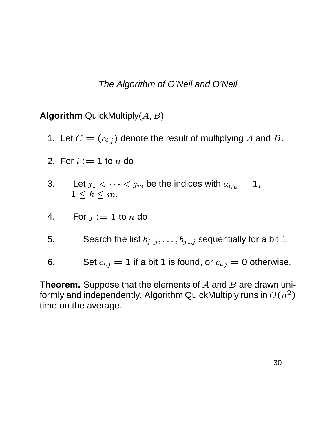#### The Algorithm of O'Neil and O'Neil

**Algorithm** QuickMultiply $(A, B)$ 

- 1. Let  $C = (c_{i,j})$  denote the  $_{i,j})$  denote the result of multiplying  $A$  and  $B.$
- 2. For  $i := 1$  to  $n$  do
- 3. Let  $j_1 < \cdots < j_m$  be the indices with  $a_{i,j_k} = 1$ ,  $1\leq k\leq m.$
- 4. For  $j := 1$  to  $n$  do
- 5. Search the list  $b_{i_1,i_2,\ldots,i_k}$  $b_{j_{m},j}$  sequentially for a bit  $1.$
- 6. Set  $c_{i,j}=1$  if a bit 1 is found, or  $c_{i,j}=0$  otherwise.

**Theorem.** Suppose that the elements of  $A$  and  $B$  are drawn uniformly and independently. Algorithm QuickMultiply runs in  $O(n^2)$ time on the average.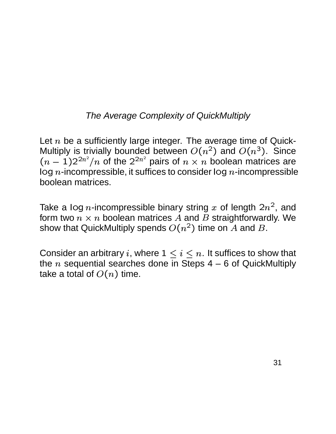# The Average Complexity of QuickMultiply

Let  $n$  be a sufficiently large integer. The average time of Quick-Multiply is trivially bounded between  $O(n^2)$  and  $O(n^3)$ . Since  $(n-1)2^{2n^2}/n$  of the  $2^{2n^2}$  pairs of  $n\times n$  boolean matrices are  $log n$ -incompressible, it suffices to consider  $log n$ -incompressible boolean matrices.

Take a log n-incompressible binary string  $x$  of length  $2n^2$ , and form two  $n \times n$  boolean matrices  $A$  and  $B$  straightforwardly. We show that QuickMultiply spends  $O(n^2)$  time on  $A$  and  $B$ .

Consider an arbitrary i, where  $1\leq i\leq n.$  It suffices to show that the  $n$  sequential searches done in Steps 4 – 6 of QuickMultiply take a total of  $O(n)$  time.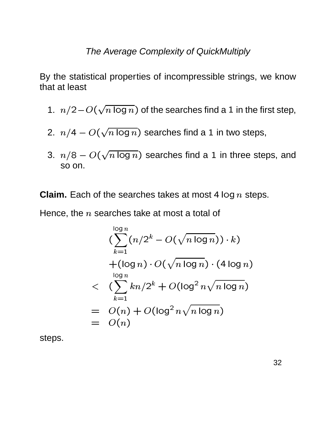### The Average Complexity of QuickMultiply

By the statistical properties of incompressible strings, we know that at least

- 1.  $n/2-O(\sqrt{n \log n})$  of the searches find a 1 in the first step,
- 2.  $n/4 O(\sqrt{n \log n})$  searches find a 1 in two steps,
- 3.  $n/8 O(\sqrt{n \log n})$  searches find a 1 in three steps, and so on.

**Claim.** Each of the searches takes at most  $4 \log n$  steps.

Hence, the  $n$  searches take at most a total of

$$
\left(\sum_{k=1}^{\log n} (n/2^k - O(\sqrt{n \log n})) \cdot k\right)
$$
  
+ 
$$
\left(\log n\right) \cdot O(\sqrt{n \log n}) \cdot (4 \log n)
$$
  

$$
< \left(\sum_{k=1}^{\log n} kn/2^k + O(\log^2 n\sqrt{n \log n})\right)
$$
  
= 
$$
O(n) + O(\log^2 n\sqrt{n \log n})
$$
  
= 
$$
O(n)
$$

steps.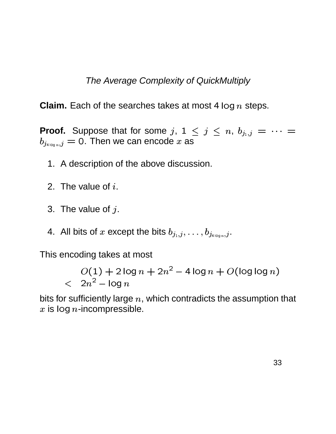The Average Complexity of QuickMultiply

**Claim.** Each of the searches takes at most  $4 \log n$  steps.

**Proof.** Suppose that for some j,  $1 \leq j \leq n$ ,  $b_{j_1,j} = \cdots =$  $b_{j_{4\log n},j}=0$ . Then we can encode x as

- 1. A description of the above discussion.
- 2. The value of  $i$ .
- 3. The value of  $j$ .
- 4. All bits of x except the bits  $b_{j_1,j},\ldots,b_{j_{4\log n,j}}$ .

This encoding takes at most

$$
O(1) + 2\log n + 2n^2 - 4\log n + O(\log \log n)
$$
  
< 2n<sup>2</sup> - \log n

bits for sufficiently large  $n$ , which contradicts the assumption that  $x$  is log  $n$ -incompressible.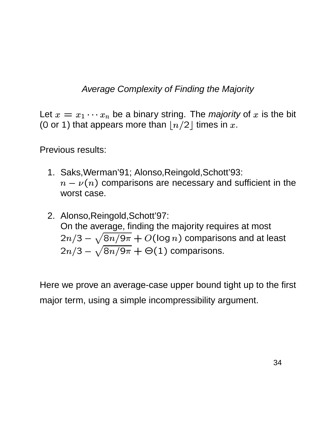Average Complexity of Finding the Majority

Let  $x = x_1 \cdots x_n$  be a binary string. The *majority* of  $x$  is the bit (0 or 1) that appears more than  $\lfloor n/2 \rfloor$  times in  $x$ .

Previous results:

- 1. Saks,Werman'91; Alonso,Reingold,Schott'93:  $n-\nu(n)$  comparisons are necessary and sufficient in the worst case.
- 2. Alonso,Reingold,Schott'97: On the average, finding the majority requires at most  $2n/3-\sqrt{8n/9\pi}+O(\log n)$  compa (log  $n)$  comparisons and at least 2 $n/3-\sqrt{8n/9\pi+\Theta(1)}$  comparisons  $(1)$  comparisons.

Here we prove an average-case upper bound tight up to the first major term, using a simple incompressibility argument.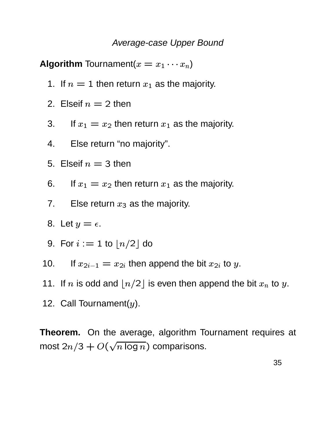#### Average-case Upper Bound

**Algorithm** Tournament( $x = x_1 \cdots x_n$ )

1. If  $n=1$  then return  $x_1$  as the majority.

- 2. Elseif  $n = 2$  then
- 3. If  $x_1 = x_2$  then return  $x_1$  as the majority.
- $\overline{4}$ . Else return "no majority".
- 5. Elseif  $n = 3$  then
- If  $x_1 = x_2$  then return  $x_1$  as the majority. 6.
- Else return  $x_3$  as the majority.  $7<sub>1</sub>$
- 8. Let  $y = \epsilon$ .
- 9. For  $i := 1$  to  $\lfloor n/2 \rfloor$  do
- If  $x_{2i-1} = x_{2i}$  then append the bit  $x_{2i}$  to y. 10.
- 11. If n is odd and  $\lfloor n/2 \rfloor$  is even then append the bit  $x_n$  to y.
- 12. Call Tournament( $y$ ).

Theorem. On the average, algorithm Tournament requires at most  $2n/3 + O(\sqrt{n \log n})$  comparisons.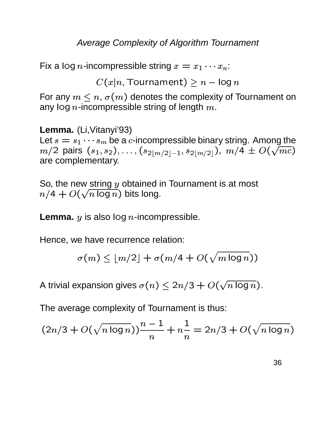### Average Complexity of Algorithm Tournament

Fix a log  $n$ -incompressible string  $x=x_1\cdots x_n$ :

 $C(x|n$ . Tournament)  $\ge n-$  log  $n$ 

For any  $m \leq n$ ,  $\sigma(m)$  denotes the complexity of Tournament on any log  $n$ -incompressible string of length  $m.$ 

**Lemma.** (Li,Vitanyi'93) Let  $s = s_1 \cdots s_m$  be a  $c$ -incompressible binary string. Among the  $m/2$  pairs  $(s_1, s_2)$ <sup>þ</sup>  $(s_{2})$ , ...,  $(s_{2|m/2})$  $\sigma$ ')  $\mid$   $m$  / ')  $\mid$   $=$   $\mid$   $\mid$   $\sigma$ ')  $\mid$   $m$  / ')  $\mid$  $s_{2\lfloor m/2 \rfloor}),\ m/4 \, \pm \, O(\sqrt{mc})$  $(\sqrt{mc})$ are complementary.

So, the new string  *obtained in Tournament is at most*  $n/4 + O(\sqrt{n}\log n)$  bits  $(\sqrt{n\log n})$  bits long.

**Lemma.**  $y$  is also  $log n$ -incompressible.

Hence, we have recurrence relation:

$$
\sigma(m) \leq \lfloor m/2 \rfloor + \sigma(m/4 + O(\sqrt{m \log n}))
$$

A trivial expansion gives  $\sigma(n) \leq 2n/3 + O(\sqrt{n \log n}).$  $(\sqrt{n\log n})$  .

The average complexity of Tournament is thus:

$$
(2n/3 + O(\sqrt{n \log n}))\frac{n-1}{n} + n\frac{1}{n} = 2n/3 + O(\sqrt{n \log n})
$$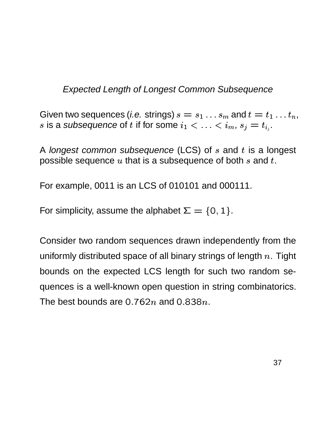Expected Length of Longest Common Subsequence

Given two sequences (*i.e.* strings)  $s = s_1 \dots s_m$  and  $t =$  $\ldots s_{m}$  and  $t=t_{1}\ldots t_{n},$  $\ldots t_n,$  $s$  is a subsequence of  $t$  if for some  $i_1 < \ldots < i_m, s_j$  $< i_m,\,s_j=t_{i_j}.$ 

A longest common subsequence (LCS) of  $s$  and  $t$  is a longest possible sequence  $u$  that is a subsequence of both  $s$  and  $t.$ 

For example, 0011 is an LCS of 010101 and 000111.

For simplicity, assume the alphabet  $\Sigma = \{0, 1\}$ .

Consider two random sequences drawn independently from the uniformly distributed space of all binary strings of length  $n$ . Tight bounds on the expected LCS length for such two random sequences is a well-known open question in string combinatorics. The best bounds are 0.762 $n$  and 0.838 $n$ .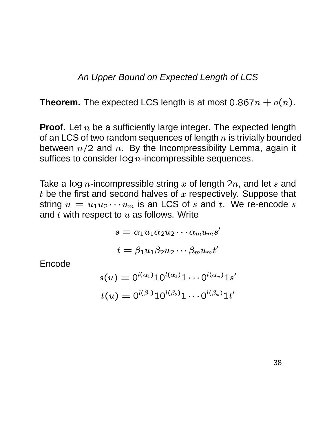### An Upper Bound on Expected Length of LCS

**Theorem.** The expected LCS length is at most  $0.867n + o(n)$ .

**Proof.** Let  $n$  be a sufficiently large integer. The expected length of an LCS of two random sequences of length  $n$  is trivially bounded between  $n/2$  and n. By the Incompressibility Lemma, again it suffices to consider  $log n$ -incompressible sequences.

Take a log *n*-incompressible string x of length  $2n$ , and let s and  $t$  be the first and second halves of  $x$  respectively. Suppose that string  $u = u_1 u_2 \cdots u_m$  is an LCS of s and t. We re-encode s and  $t$  with respect to  $u$  as follows. Write

$$
s = \alpha_1 u_1 \alpha_2 u_2 \cdots \alpha_m u_m s'
$$
  

$$
t = \beta_1 u_1 \beta_2 u_2 \cdots \beta_m u_m t'
$$

Encode

$$
\begin{aligned} s(u) = \text{O}^{l(\alpha_1)} 10^{l(\alpha_2)} 1 \cdots 0^{l(\alpha_m)} 1s' \\ t(u) = \text{O}^{l(\beta_1)} 10^{l(\beta_2)} 1 \cdots 0^{l(\beta_m)} 1t' \end{aligned}
$$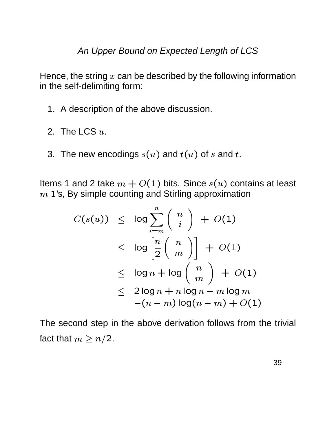An Upper Bound on Expected Length of LCS

Hence, the string  $x$  can be described by the following information in the self-delimiting form:

- 1. A description of the above discussion.
- 2. The LCS  $u$ .
- 3. The new encodings  $s(u)$  and  $u)$  and  $t(u)$  of  $s$  and  $t.$

Items 1 and 2 take  $m + O(1)$  bits. Since 1's, By simple counting and Stirling approximation  $(1)$  bits. Since  $s(u)$  con  $u)$  contains at least

$$
C(s(u)) \leq \log \sum_{i=m}^{n} {n \choose i} + O(1)
$$
  
\n
$$
\leq \log \left[ \frac{n}{2} {n \choose m} \right] + O(1)
$$
  
\n
$$
\leq \log n + \log {n \choose m} + O(1)
$$
  
\n
$$
\leq 2 \log n + n \log n - m \log m
$$
  
\n
$$
-(n-m) \log(n-m) + O(1)
$$

The second step in the above derivation follows from the trivial fact that  $m \geq n/2.$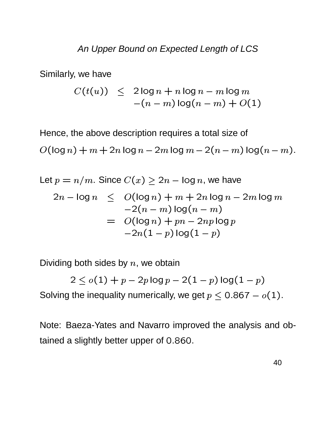Similarly, we have

$$
C(t(u)) \leq 2\log n + n\log n - m\log m
$$
  
-(n-m)  $\log(n-m) + O(1)$ 

Hence, the above description requires a total size of

  $(\log n) + m + 2n \log n - 2m \log m - 2(n-m) \log (n-m).$ 

Let 
$$
p = n/m
$$
. Since  $C(x) \ge 2n - \log n$ , we have  
\n
$$
2n - \log n \le O(\log n) + m + 2n \log n - 2m \log m
$$
\n
$$
-2(n - m) \log(n - m)
$$
\n
$$
= O(\log n) + pn - 2np \log p
$$
\n
$$
-2n(1 - p) \log(1 - p)
$$

Dividing both sides by  $n$ , we obtain

 $2 < o(1) + p - 2p \log p - 2(1-p) \log (1-p)$ )  $log(1-p)$ Solving the inequality numerically, we get  $p \leq 0.867 - o(1)$ .

Note: Baeza-Yates and Navarro improved the analysis and obtained a slightly better upper of 0.860.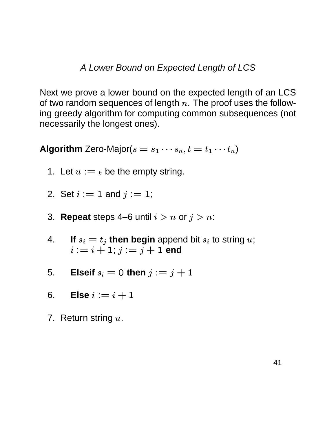A Lower Bound on Expected Length of LCS

Next we prove a lower bound on the expected length of an LCS of two random sequences of length  $n$ . The proof uses the following greedy algorithm for computing common subsequences (not necessarily the longest ones).

**Algorithm** Zero-Major( $s = s_1 \cdots s_n$ ,  $t = t_1 \cdots t_n$ )

- 1. Let  $u := \epsilon$  be the empty string.
- 2. Set  $i := 1$  and  $j := 1$ ;
- 3. **Repeat** steps 4–6 until  $i > n$  or  $j > n$ :
- If  $s_i = t_i$  then begin append bit  $s_i$  to string u;  $\mathbf{4}$  $i := i + 1; j := j + 1$  end
- Elseif  $s_i = 0$  then  $j := j + 1$ 5.
- 6. Else  $i := i + 1$
- 7. Return string  $u$ .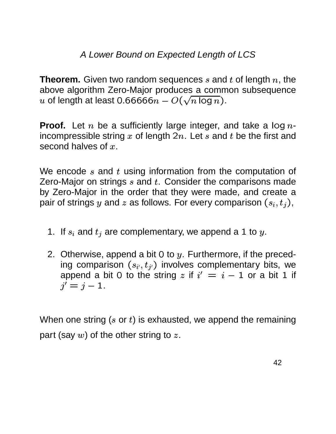### A Lower Bound on Expected Length of LCS

**Theorem.** Given two random sequences  $s$  and  $t$  of length  $n$ , the above algorithm Zero-Major produces a common subsequence  $u$  of length at least 0.66666 $n - O(\sqrt{n\log n}).$ 

**Proof.** Let  $n$  be a sufficiently large integer, and take a log  $n$ incompressible string  $x$  of length  $2n$ . Let  $s$  and  $t$  be the first and second halves of  $x.$ 

We encode  $s$  and  $t$  using information from the computation of Zero-Major on strings  $s$  and  $t$ . Consider the comparisons made by Zero-Major in the order that they were made, and create a pair of strings y and z as follows. For every comparison  $(s_i, t_j)$ , <sup>þ</sup>  $\mathbf{x}$  and  $\mathbf{x}$  and  $\mathbf{x}$  and  $\mathbf{x}$  $(i)$ ,

- 1. If  $s_i$  and  $t_j$  are complementary, we append a 1 to  $y$ .
- 2. Otherwise, append a bit 0 to  $y$ . Furthermore, if the preceding comparison  $(s_{i'}, t_{j'})$ <sup>þ</sup> append a bit 0 to the string  $z$  if  $i' = i - 1$  or a bit 1 if <sup>x</sup> §  $_{j'}$ ) involves complementary bits, we  $j' = j - 1$ .

When one string ( $s$  or  $t$ ) is exhausted, we append the remaining part (say  $w$ ) of the other string to z.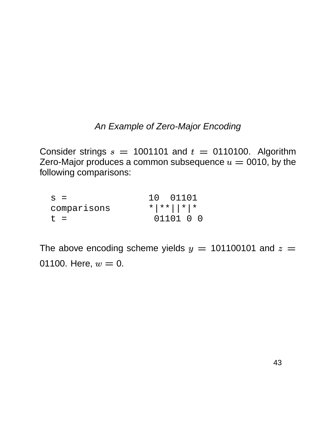### An Example of Zero-Major Encoding

Consider strings  $s = 1001101$  and  $t = 0110100$ . Algorithm Zero-Major produces a common subsequence  $u = 0010$ , by the following comparisons:

| $S =$       | 10 01101                                                    |  |  |
|-------------|-------------------------------------------------------------|--|--|
| comparisons | $\star$ $\mid$ $\star$ $\mid$ $\mid$ $\star$ $\mid$ $\star$ |  |  |
| $t =$       | 01101 0 0                                                   |  |  |

The above encoding scheme yields  $y =$  101100101 and  $z =$ 01100. Here,  $w = 0$ .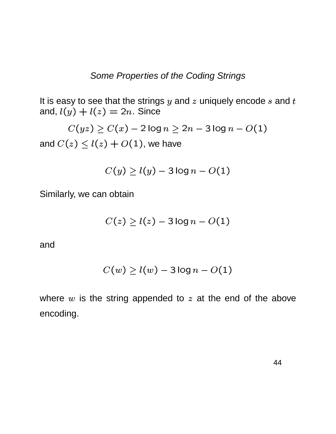It is easy to see that the strings  $y$  and  $z$  uniquely encode  $s$  and  $t$ and,  $l(y) + l$ . . . . . . . \_ <sup>Ñ</sup> -  $) = 2n$ . Since

 $C(\mathit{uz}) > C(\mathit{x}) - 2$  log  $n > 2n-3$  log  $n-O(\mathit{uz})$ 3 IOQ  $n - O(1)$  $(1)$ and  $C(z)\leq l(z)$  . <sup>Ñ</sup> -  $\left( \begin{array}{ccc} 1 & 0 & 1 \\ 0 & 1 & 0 \end{array} \right)$   $(1)$ , we have

$$
C(y) \geq l(y) - 3\log n - O(1)
$$

Similarly, we can obtain

$$
C(z) \ge l(z) - 3\log n - O(1)
$$

and

$$
C(w) \geq l(w) - 3\log n - O(1)
$$

where  $w$  is the string appended to  $z$  at the end of the above encoding.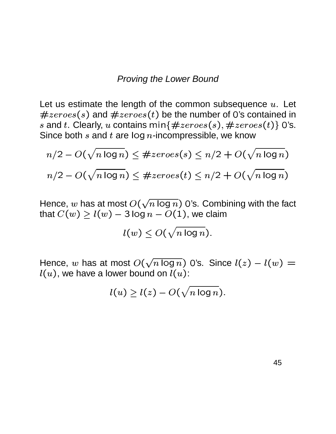#### Proving the Lower Bound

Let us estimate the length of the common subsequence  $u$ . Let  $\sim$  . The set of the set of the set of the set of the set of the set of the set of the set of the set of the set of the set of the set of the set of the set of the set of the set of the set of the set of the set of the s . . . . . . . . .  $\sqrt{2}$ <sup>þ</sup>  $s)$  and  $\#zeros(t)$  be the r  $\left( \begin{array}{ccc} 1 & 1 \\ 1 & 1 \end{array} \right)$ <sup>þ</sup>  $(t)$  be the number of 0's contained in  $s$  and  $t.$  Clearly,  $u$  contains min $\{\#zeros(s), \#zero\}$  $\sqrt{1}$ <sup>þ</sup>  $s$ ),  $\#zer$ . . . . . . . . . .  $\left( \frac{1}{2} \right)$ <sup>þ</sup>  $(t) \}$  O's. Since both  $s$  and  $t$  are log  $n$ -incompressible, we know

$$
n/2 - O(\sqrt{n \log n}) \leq #zeroes(s) \leq n/2 + O(\sqrt{n \log n})
$$
  

$$
n/2 - O(\sqrt{n \log n}) \leq #zeroes(t) \leq n/2 + O(\sqrt{n \log n})
$$

Hence,  $w$  has at most  $O(\sqrt{n\log n})$  0's. Combining with the fact that  $C(w) \ge l(w) - 3\log n - O(1)$ , we claim  $(1)$ , we claim

$$
l(w) \leq O(\sqrt{n \log n}).
$$

Hence, w has at most  $O(\sqrt{n \log n})$  0's. Since  $l(z) - l(w)$  $\lambda$  -  $\frac{1}{\lambda}$  -  $\lambda$  $w$   $\rangle$   $=$ - -  $u$  ), we have a lower bound on  $l(u)\colon$ 

$$
l(u) \ge l(z) - O(\sqrt{n \log n}).
$$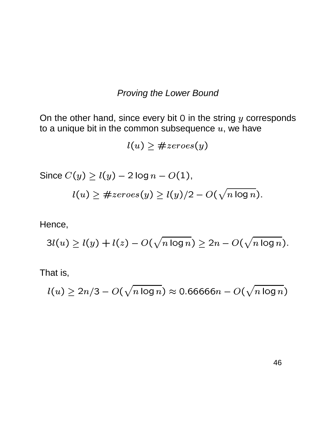### **Proving the Lower Bound**

On the other hand, since every bit  $0$  in the string  $y$  corresponds to a unique bit in the common subsequence  $u$ , we have

$$
l(u) \geq #zeroes(y)
$$

Since  $C(y) \ge l(y) - 2 \log n - O(1)$ ,  $l(u) \geq #zeros(y) \geq l(y)/2 - O(\sqrt{n \log n}).$ 

Hence,

$$
3l(u) \ge l(y) + l(z) - O(\sqrt{n \log n}) \ge 2n - O(\sqrt{n \log n}).
$$

That is,

$$
l(u) \geq 2n/3 - O(\sqrt{n \log n}) \approx 0.66666n - O(\sqrt{n \log n})
$$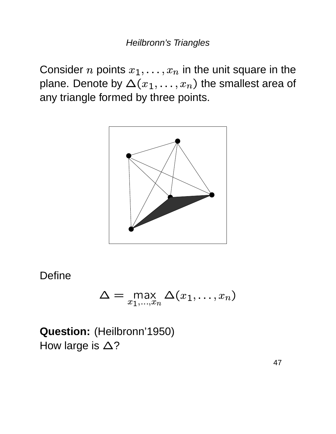Consider *n* points  $x_1, \ldots, x_n$  in the unit square in the plane. Denote by  $\Delta(x_1,\ldots,x_n)$  the smallest area of any triangle formed by three points.



**Define** 

$$
\Delta = \max_{x_1,\dots,x_n} \Delta(x_1,\dots,x_n)
$$

Question: (Heilbronn'1950) How large is  $\Delta$ ?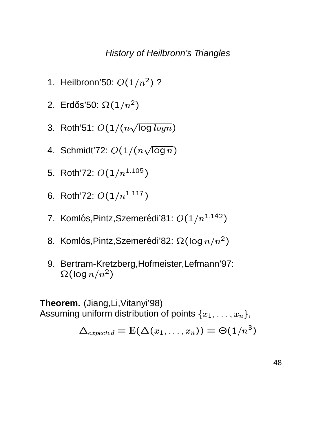### History of Heilbronn's Triangles

- 1. Heilbronn'50:  $O(1/n^2)$  ?
- 2. Erdős'50:  $\Omega(1/n^2)$
- 3. Roth'51:  $O(1/(n\sqrt{\log\log n}))$ . . . . . . . . .  $\left(\begin{array}{cc} \sqrt{2} & \sqrt{2} & \sqrt{2} \\ \sqrt{2} & \sqrt{2} & \sqrt{2} & \sqrt{2} \end{array}\right)$
- 4. Schmidt'72:  $O(1/(n\sqrt{\log n}))$ . . . . . . . . .  $\left( \begin{array}{cc} 0 & 1 \\ 0 & 1 \end{array} \right)$
- 5. Roth'72:  $O(1/n^{1.105})$
- 6. Roth'72:  $O(1/n^{1.117})$
- 7. Komlós,Pintz,Szemerédi'81:  $O(1/n^{1.142})$
- 8. Komlós,Pintz,Szemerédi'82:  $\Omega(\log n/n^2)$
- 9. Bertram-Kretzberg,Hofmeister,Lefmann'97:  $\Omega(\log n/n^2)$

**Theorem.** (Jiang,Li,Vitanyi'98) Assuming uniform distribution of points  $\{x_1,\ldots,x_n\}$  $, \ldots, x_{n} \},$ 

$$
\Delta_{expected} = \mathrm{E}(\Delta(x_1, \ldots, x_n)) = \Theta(1/n^3)
$$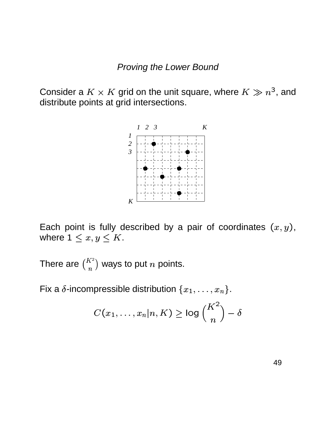Consider a  $K \times K$  grid on the unit square, where  $K \gg n^3,$  and distribute points at grid intersections.



Each point is fully described by a pair of coordinates  $(x, y)$ ,  $y)$ , where  $1 \leq x, y \leq K$ .

There are  $\binom{K^2}{n}$  ways to put  $n$  points.

Fix a  $\delta$ -incompressible distribution  $\{x_1,\ldots,x_n\}$  $, \ldots, x_{n}$  }.

$$
C(x_1,\ldots,x_n|n,K) \geq \log {K^2 \choose n} - \delta
$$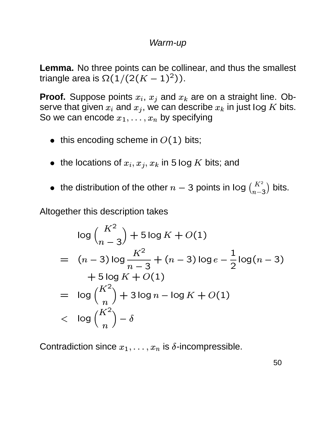### Warm-up

**Lemma.** No three points can be collinear, and thus the smallest triangle area is  $\Omega(1/(2(K-1)^2))$ <sup>l</sup> - \ - $(K-1)^2)$ ).

**Proof.** Suppose points  $x_i$ ,  $x_j$  and  $x_k$  are on a straight line. Observe that given  $x_i$  and  $x_j$ , we can describe  $x_k$  in just log  $K$  bits. So we can encode  $x_1, \ldots, x_n$  b  $, \ldots, x_{n}$  by specifying

- $\bullet\;$  this encoding scheme in  $O(1)$  bits;
- $\bullet\;$  the locations of  $x_i,x_j,x_k$  in 5 k  $,x_k$  in 5 log  $K$  bits; and
- the distribution of the other  $n-3$  points in  $\log {K^2 \choose n-3}$  bits.

Altogether this description takes

$$
\log {K^2 \choose n-3} + 5 \log K + O(1)
$$
  
=  $(n-3) \log \frac{K^2}{n-3} + (n-3) \log e - \frac{1}{2} \log (n-3)$   
+  $5 \log K + O(1)$   
=  $\log {K^2 \choose n} + 3 \log n - \log K + O(1)$   
<  $\log {K^2 \choose n} - \delta$ 

Contradiction since  $x_1, \ldots, x_n$  is  $x_1, \ldots, x_n$  is  $\delta$ -incompressible.

50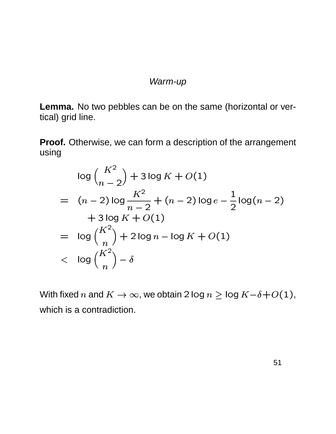### Warm-up

**Lemma.** No two pebbles can be on the same (horizontal or vertical) grid line.

**Proof.** Otherwise, we can form a description of the arrangement using

$$
\log {K^2 \choose n-2} + 3 \log K + O(1)
$$
  
=  $(n-2) \log \frac{K^2}{n-2} + (n-2) \log e - \frac{1}{2} \log (n-2)$   
+  $3 \log K + O(1)$   
=  $\log {K^2 \choose n} + 2 \log n - \log K + O(1)$   
<  $\log {K^2 \choose n} - \delta$ 

With fixed  $n$  and  $K \to \infty$ , we obtain 2 log  $n \geq$  log  $K{-} \delta {+} O(1)$ ,  $(1),$ which is a contradiction.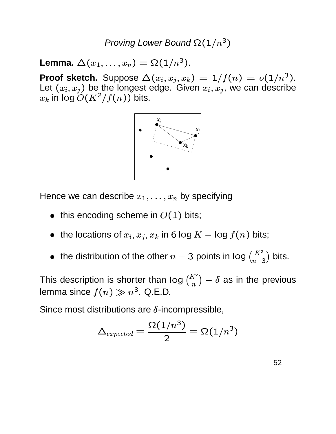Proving Lower Bound  $\Omega(1/n^3)$ 

**Lemma.**  $\Delta(x_1, \ldots, x_n) = \Omega$  $(x_1,\ldots,x_n)=\Omega(1/n^3).$ 

**Proof sketch.** Suppose  $\Delta(x_i, x_j, x_k) = 1/j$ <sup>±</sup>  $(x_i, x_k) = 1$  $(x_k) = 1/f(n) = o(1/n^3).$ Let  $(x_i, x_j)$  be th <sup>±</sup>  $(x, x_j)$  be the longest edge. Given  $x_i, x_j$ , we can be the longest edge. Given  $x_i, x_j$ , we can describe  $x_k$  in log  $O(K^2/f(n))$  bits.



Hence we can describe  $x_1,\ldots,x_n$  t  $, \ldots, x_n$  by specifying

- $\bullet\;$  this encoding scheme in  $O(1)$  bits;
- $\bullet\;$  the locations of  $x_i,x_j,x_k$  in 6 k  $x_k$  in 6 log  $K-\log f(n)$  bits;
- the distribution of the other  $n-3$  points in  $\log {K^2 \choose n-3}$  bits.

This description is shorter than  $\log {K \choose n} - \delta$  as in the previous lemma since  $f(n) \gg n^3$ . Q.E.D.

Since most distributions are  $\delta$ -incompressible,

$$
\Delta_{expected}=\frac{\Omega(1/n^3)}{2}=\Omega(1/n^3)
$$

52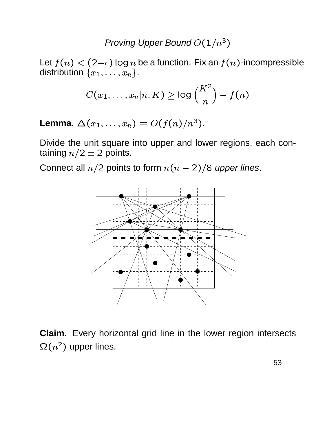Let  $f(n)<(2\!-\!\epsilon)$  log  $n$  $(2{-}\epsilon)$  log  $n$  be a function. Fix an  $f(n)$ -incompressible distribution  $\{x_1,\ldots,x_n\}$  $, \ldots, x_{n}$  }.

$$
C(x_1,\ldots,x_n|n,K) \geq \log {K^2 \choose n} - f(n)
$$

**Lemma.**  $\Delta(x_1, \ldots, x_n) = O(n)$  $(x_1, \ldots, x_n) = O(f(n)/n^3).$  <sup>o</sup>  $(n)/n^3$ .

Divide the unit square into upper and lower regions, each containing  $n/2 \pm 2$  points.

Connect all  $n/2$  points to form  $n(n-2)/8$  upper lines.



**Claim.** Every horizontal grid line in the lower region intersects  $\Omega(n^2)$  upper lines.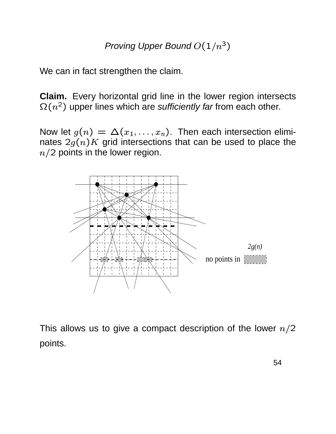We can in fact strengthen the claim.

**Claim.** Every horizontal grid line in the lower region intersects  $\Omega(n^2)$  upper lines which are s*ufficiently far* from each other.

Now let  $g(n) = \Delta(x_1, \ldots, x_n)$ . The  $, \ldots, x_{n}).$  Then each intersection eliminates  $2g(n)K$  grid intersections that can be used to place the  $n/2$  points in the lower region.



This allows us to give a compact description of the lower  $n/2$ points.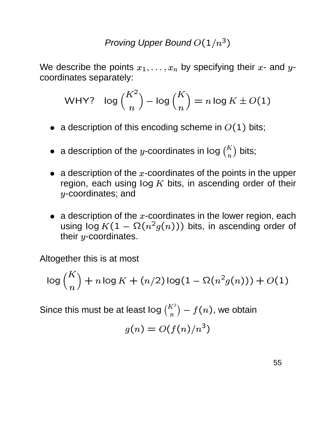We describe the points  $x_1,\ldots,x_n$  t  $x_{y},\ldots,x_{n}$  by specifying their  $x$ - and  $y$ coordinates separately:

WHY? 
$$
\log {K^2 \choose n} - \log {K \choose n} = n \log K \pm O(1)
$$

- $\bullet~$  a description of this encoding scheme in  $O(1)$  bits;
- $\bullet$  a description of the y-coordinates in log  $\binom{K}{n}$  bits;
- a description of the  $x$ -coordinates of the points in the upper region, each using  $log K$  bits, in ascending order of their  $y$ -coordinates; and
- $\bullet~$  a description of the  $x$ -coordinates in the lower region, each using log  $K(1 - \Omega(n^2g(n)))$  bits, in ascending order of their  $y$ -coordinates.

Altogether this is at most

$$
\log {K \choose n} + n \log K + (n/2) \log (1 - \Omega(n^2 g(n))) + O(1)
$$

Since this must be at least  $\log {K^2 \choose n} - f(n)$ , we obt  $\left( n\right)$ , we obtain

$$
g(n) = O(f(n)/n^3)
$$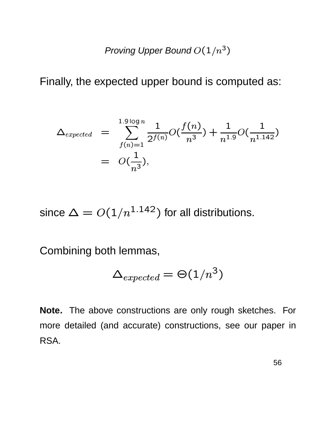Finally, the expected upper bound is computed as:

$$
\Delta_{expected} = \sum_{f(n)=1}^{1.9 \log n} \frac{1}{2^{f(n)}} O(\frac{f(n)}{n^3}) + \frac{1}{n^{1.9}} O(\frac{1}{n^{1.142}})
$$
  
=  $O(\frac{1}{n^3}),$ 

since  $\Delta = O(1/n^{1.142})$  for all distributions.

Combining both lemmas,

$$
\Delta_{expected}=\Theta(1/n^3)
$$

Note. The above constructions are only rough sketches. For more detailed (and accurate) constructions, see our paper in RSA.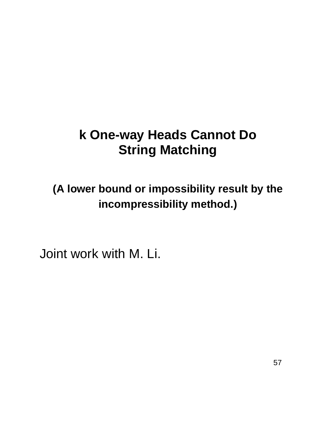# **k One-way Heads Cannot Do String Matching**

**(A lower bound or impossibility result by the incompressibility method.)**

Joint work with M. Li.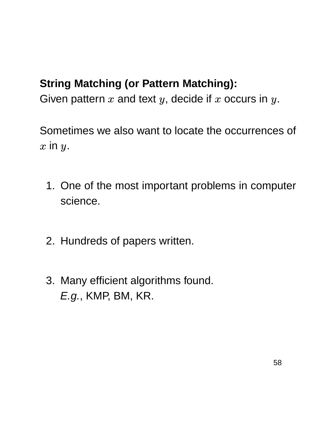# **String Matching (or Pattern Matching):**

Given pattern  $x$  and text  $y$ , decide if  $x$  occurs in  $y$ .

Sometimes we also want to locate the occurrences of  $x$  in  $y$ .

- 1. One of the most important problems in computer science.
- 2. Hundreds of papers written.
- 3. Many efficient algorithms found. E.g., KMP, BM, KR.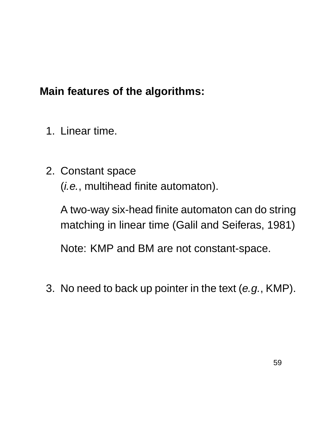# **Main features of the algorithms:**

- 1. Linear time.
- 2. Constant space (i.e., multihead finite automaton).

A two-way six-head finite automaton can do string matching in linear time (Galil and Seiferas, 1981)

Note: KMP and BM are not constant-space.

3. No need to back up pointer in the text  $(e.g.,$  KMP).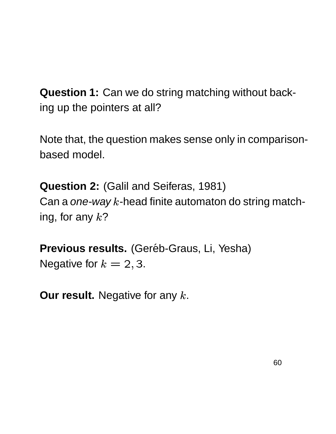**Question 1:** Can we do string matching without backing up the pointers at all?

Note that, the question makes sense only in comparisonbased model.

**Question 2:** (Galil and Seiferas, 1981) Can a one-way  $k$ -head finite automaton do string matching, for any  $k$ ?

**Previous results.** (Geréb-Graus, Li, Yesha) Negative for  $k = 2, 3$ .

**Our result.** Negative for any k.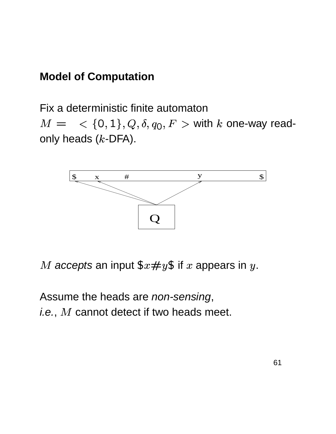## **Model of Computation**

Fix a deterministic finite automaton  $M = \langle \ \{0,1\}, Q, \delta, q_0, F \rangle$  with  $k$  one-way readonly heads  $(k$ -DFA).



 $M$  accepts an input  $x \# y \$  if  $x$  appears in  $y$ .

Assume the heads are non-sensing, *i.e.,*  $M$  *cannot detect if two heads meet.*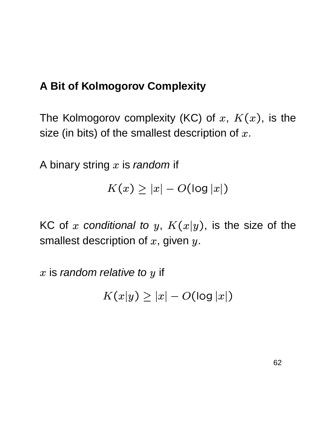# **A Bit of Kolmogorov Complexity**

The Kolmogorov complexity (KC) of  $x, K(x)$ , is the size (in bits) of the smallest description of  $x.$ 

A binary string  $x$  is *random* if

$$
K(x) \geq |x| - O(\log |x|)
$$

KC of x conditional to y,  $K(x|y)$ , is the size  $\sim$   $\sim$   $\sim$   $\sim$   $\sim$   $\sim$   $\sim$ ), is the size of the smallest description of  $x$ , given  $y$ .

 $x$  is *random relative to*  $y$  *if* 

$$
K(x|y) \geq |x| - O(\log |x|)
$$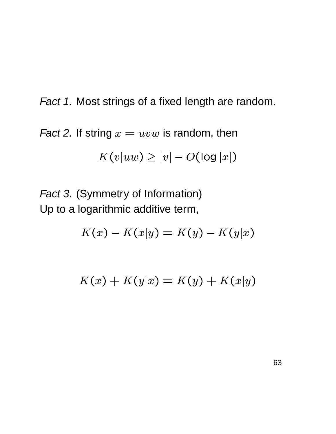Fact 1. Most strings of a fixed length are random.

*Fact 2.* If string  $x = uvw$  is random, then

$$
K(v|uw) \geq |v| - O(\log |x|)
$$

Fact 3. (Symmetry of Information) Up to a logarithmic additive term,

$$
K(x) - K(x|y) = K(y) - K(y|x)
$$

$$
K(x) + K(y|x) = K(y) + K(x|y)
$$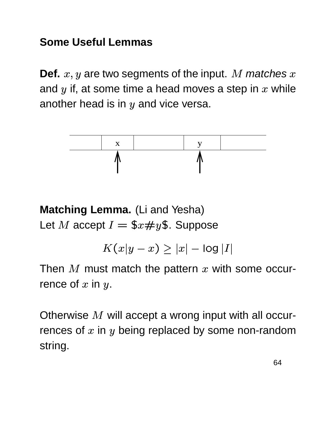# **Some Useful Lemmas**

**Def.**  $x, y$  are two ,  $y$  are two segments of the input.  $M$   $m$ atches  $x$ and  $y$  if, at some time a head moves a step in  $x$  while another head is in  $y$  and vice versa.



**Matching Lemma.** (Li and Yesha) Let M accept  $I = $x \# y $$ . Suppose

> j (QP <sup>l</sup>  $y-x$ )  $> |x|$   $-$  log  $|I|$

Then  $M$  must match the pattern  $x$  with some occurrence of  $x$  in  $y$ .

Otherwise  $M$  will accept a wrong input with all occurrences of  $x$  in  $y$  being replaced by some non-random string.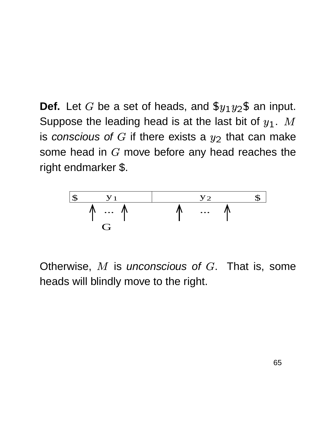**Def.** Let G be a set of heads, and  $\frac{6}{7}$   $\frac{1}{2}$  an inping  $_2$ \$ an input. Suppose the leading head is at the last bit of  $y_1$ .  $M$  $\overline{\phantom{a}}$ .  $M$ is conscious of G if there exists a  $y_2$  that car \_ \_ \_ \_ \_ \_ \_ \_ \_ \_ \_ that can make some head in  $G$  move before any head reaches the right endmarker \$.



Otherwise,  $M$  is unconscious of  $G$ . That is, some heads will blindly move to the right.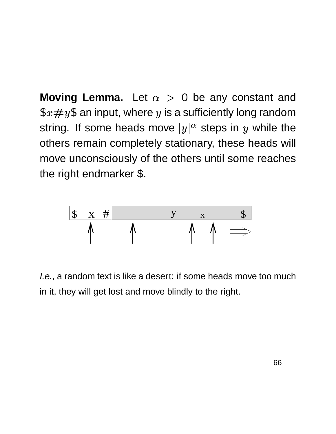**Moving Lemma.** Let  $\alpha > 0$  be any constant and  $\$x\#y\$$  an input, where  $y$  is a sufficiently long random string. If some heads move  $|y|^\alpha$  steps ir  $^\alpha$  steps in  $y$  while the others remain completely stationary, these heads will move unconsciously of the others until some reaches the right endmarker \$.



I.e., a random text is like a desert: if some heads move too much in it, they will get lost and move blindly to the right.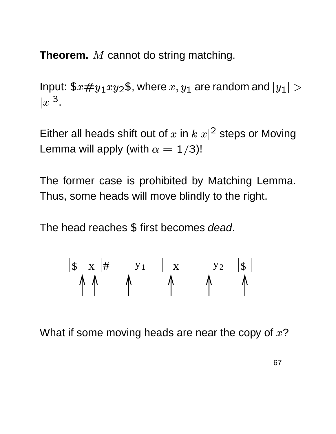**Theorem.** M cannot do string matching.

Input:  $x \# y_1 xy_2$ \$, where  $x, y_1$  are ran ,  $y_1$  are rand are random and  $\left| y_1 \right| > 1$ <sup>Z</sup>  $\vert m \vert^3$ .

Either all heads shift out of x in  $k|x|^2$  steps or Moving Lemma will apply (with  $\alpha = 1/3$ )! )!

The former case is prohibited by Matching Lemma. Thus, some heads will move blindly to the right.

The head reaches \$ first becomes dead.

| <b>T</b> |  |  |  |
|----------|--|--|--|
|          |  |  |  |

What if some moving heads are near the copy of  $x$ ?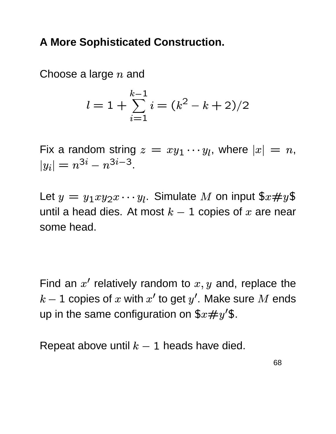# **A More Sophisticated Construction.**

Choose a large  $n$  and

$$
l = 1 + \sum_{i=1}^{k-1} i = (k^2 - k + 2)/2
$$

Fix a random string  $z = xy_1 \cdots y_l$ , where  $y_1 \cdots y_l$ , where  $|x| = n$ ,  $\sim$  T  $\sim$  T  $\sim$  T  $\sim$  T  $\sim$  T  $\sim$  T  $\sim$  T  $\sim$  T  $\sim$  T  $\sim$  T  $\sim$  T  $\sim$  T  $\sim$  T  $\sim$  T  $\sim$  T  $\sim$  T  $\sim$  T  $\sim$  T  $\sim$  T  $\sim$  T  $\sim$  T  $\sim$  T  $\sim$  T  $\sim$  T  $\sim$  T  $\sim$  T  $\sim$  T  $\sim$  T  $\sim$  T  $\sim$  T  $\sim$  T  $\sim$ °  $\mathcal{L} = n - n$ ° m $n =$  $i$  – 3 .

Let  $y = y_1xy_2x\cdots y_l$ . Simulate M on input  $$x\#y\$$ until a head dies. At most  $k-1$  copies of  $x$  are near some head.

Find an  $x'$  relatively random to  $x, y$  and, reprodu  $, y$  and, replace the  $k-1$  copies of  $x$  with  $x^\prime$  to get  $y^\prime.$  Make sure  $M$  ends up in the same configuration on  $\$x\#y'\$$ .

Repeat above until  $k-1$  heads have died.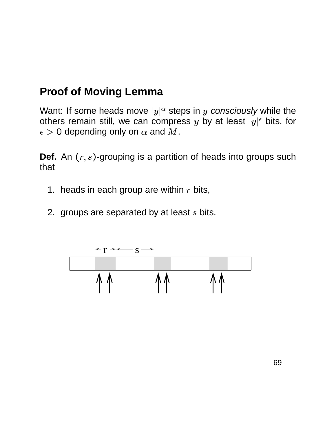# **Proof of Moving Lemma**

Want: If some heads move  $|y|$ - - - - - - - - $|^{\alpha}$  steps in  $y$  consciously while the others remain still, we can compress y by at least  $|y|^{\epsilon}$  bits, for . . . . . . . . . . . 0 depending only on  $\alpha$  and  $M.$ 

**Def.** An  $(r, s)$ -grou  $s$ )-grouping is a partition of heads into groups such that

- 1. heads in each group are within  $r$  bits,
- 2. groups are separated by at least  $s$  bits.

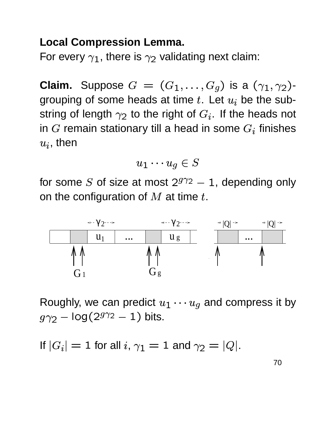## **Local Compression Lemma.**

For every  $\gamma_1$ , there is  $\gamma_2$  validating next claim:

**Claim.** Suppose  $G = (G_1, \ldots, G_q)$  is a  $(\gamma_1, \gamma_2)$ grouping of some heads at time  $t$ . Let  $u_i$  be the substring of length  $\gamma_2$  to the right of  $G_i.$  If the heads not in G remain stationary till a head in some  $G_i$  finishes  $_i$ , then

$$
u_1\cdots u_g\in S
$$

for some S of size at most  $2^{g\gamma_2} - 1$ , depending only on the configuration of  $M$  at time  $t$ .



Roughly, we can predict  $u_1 \cdots u_q$  and compress it by  $g \gamma_2 - \log(2^{g \gamma_2} - 1)$  bits.

If 
$$
|G_i| = 1
$$
 for all  $i, \gamma_1 = 1$  and  $\gamma_2 = |Q|$ .

70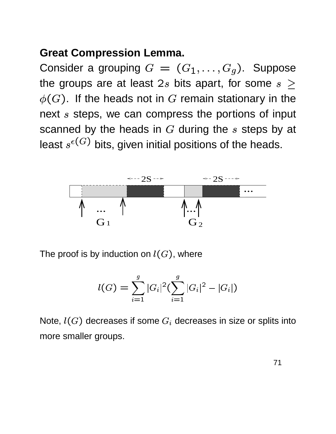## **Great Compression Lemma.**

Consider a grouping  $G = (G_1, \ldots, G_q)$ . Suppose the groups are at least 2s bits apart, for some  $s >$  $\phi(G)$ . If the heads not in G remain stationary in the next s steps, we can compress the portions of input scanned by the heads in  $G$  during the  $s$  steps by at least  $s^{\epsilon(G)}$  bits, given initial positions of the heads.



The proof is by induction on  $l(G)$ , where

$$
l(G) = \sum_{i=1}^g |G_i|^2 (\sum_{i=1}^g |G_i|^2 - |G_i|)
$$

Note,  $l(G)$  decreases if some  $G_i$  decreases in size or splits into more smaller groups.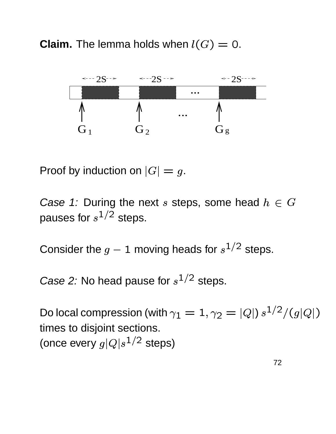**Claim.** The lemma holds when  $l(G) = 0$ .



Proof by induction on  $|G| = g$ .

Case 1: During the next s steps, some head  $h \in G$ pauses for  $s^{1/2}$  steps.

Consider the  $g - 1$  moving heads for  $s^{1/2}$  steps.

Case 2: No head pause for  $s^{1/2}$  steps.

Do local compression (with  $\gamma_1 = 1, \gamma_2 = |Q| \frac{s^{1/2}}{(g|Q|)}$  $|Q|$ times to disjoint sections. (once every  $g|Q|s^{1/2}$  steps)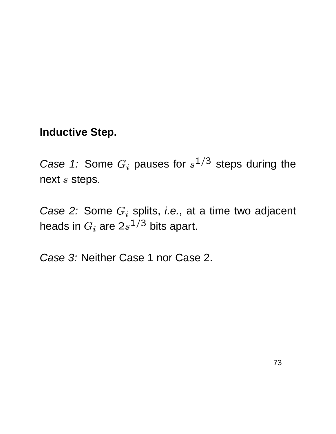## **Inductive Step.**

Case 1: Some  $G_i$  pauses for  $s^{1/3}$  steps during the next  $s$  steps.

Case 2: Some  $G_i$  splits, i.e., at a time two adjacent heads in  $G_i$  are  $2s^{1/3}$  bits apart.

Case 3: Neither Case 1 nor Case 2.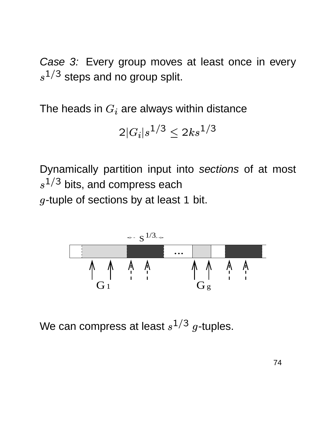Case 3: Every group moves at least once in every  $s^{1/3}$  steps and no group split.

The heads in  $G_i$  are always within distance

$$
2|G_i|s^{1/3}\leq 2ks^{1/3}
$$

Dynamically partition input into sections of at most  $s^{1/3}$  bits, and compress each ---------------tuple of sections by at least 1 bit.



We can compress at least  $s^{1/3}$   $g$ -tuples.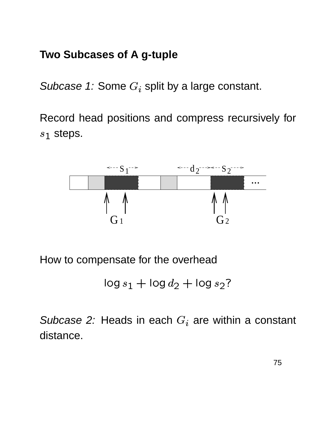## **Two Subcases of A g-tuple**

Subcase 1: Some  $G_i$  split by a large constant.

Record head positions and compress recursively for  $s_1$  steps.



How to compensate for the overhead

```
\log s_1 + \log d_2 + \log s_2?
```
Subcase 2: Heads in each  $G_i$  are within a constant distance.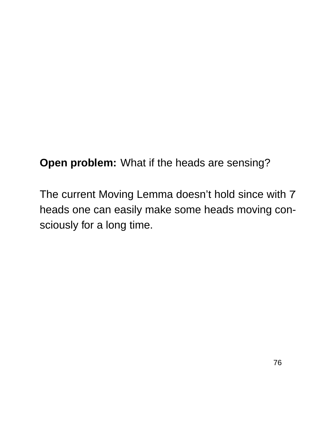**Open problem:** What if the heads are sensing?

The current Moving Lemma doesn't hold since with 7 heads one can easily make some heads moving consciously for a long time.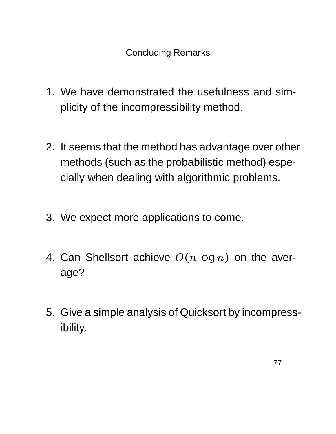**Concluding Remarks** 

- 1. We have demonstrated the usefulness and simplicity of the incompressibility method.
- 2. It seems that the method has advantage over other methods (such as the probabilistic method) especially when dealing with algorithmic problems.
- 3. We expect more applications to come.
- 4. Can Shellsort achieve  $O(n \log n)$  on the average?
- 5. Give a simple analysis of Quicksort by incompressibility.